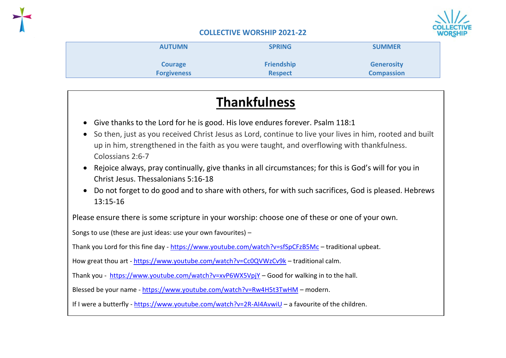

| <b>AUTUMN</b>      | <b>SPRING</b>     | <b>SUMMER</b>     |
|--------------------|-------------------|-------------------|
| <b>Courage</b>     | <b>Friendship</b> | <b>Generosity</b> |
| <b>Forgiveness</b> | <b>Respect</b>    | <b>Compassion</b> |
|                    |                   |                   |

# **Thankfulness**

- Give thanks to the Lord for he is good. His love endures forever. Psalm 118:1
- So then, just as you received Christ Jesus as Lord, continue to live your lives in him, rooted and built up in him, strengthened in the faith as you were taught, and overflowing with thankfulness. Colossians 2:6-7
- Rejoice always, pray continually, give thanks in all circumstances; for this is God's will for you in Christ Jesus. Thessalonians 5:16-18
- Do not forget to do good and to share with others, for with such sacrifices, God is pleased. Hebrews 13:15-16

Please ensure there is some scripture in your worship: choose one of these or one of your own.

Songs to use (these are just ideas: use your own favourites) –

Thank you Lord for this fine day - <https://www.youtube.com/watch?v=sfSpCFzB5Mc> – traditional upbeat.

How great thou art - <https://www.youtube.com/watch?v=Cc0QVWzCv9k> – traditional calm.

Thank you - <https://www.youtube.com/watch?v=xvP6WX5VpjY> – Good for walking in to the hall.

Blessed be your name - <https://www.youtube.com/watch?v=Rw4H5t3TwHM> – modern.

If I were a butterfly - <https://www.youtube.com/watch?v=2R-AI4AvwiU> - a favourite of the children.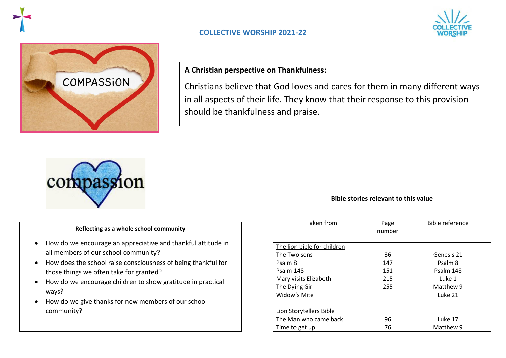



## **A Christian perspective on Thankfulness:**

Christians believe that God loves and cares for them in many different ways in all aspects of their life. They know that their response to this provision should be thankfulness and praise.



#### **Reflecting as a whole school community**

- How do we encourage an appreciative and thankful attitude in all members of our school community?
- How does the school raise consciousness of being thankful for those things we often take for granted?
- How do we encourage children to show gratitude in practical ways?
- How do we give thanks for new members of our school community?

| PIPIC SLUITES I CICVAIIL LU LIIIS VAIUC |                |                        |  |  |
|-----------------------------------------|----------------|------------------------|--|--|
|                                         |                |                        |  |  |
| Taken from                              | Page<br>number | <b>Bible reference</b> |  |  |
| The lion bible for children             |                |                        |  |  |
| The Two sons                            | 36             | Genesis 21             |  |  |
| Psalm 8                                 | 147            | Psalm 8                |  |  |
| Psalm 148                               | 151            | Psalm 148              |  |  |
| Mary visits Elizabeth                   | 215            | Luke 1                 |  |  |
| The Dying Girl                          | 255            | Matthew 9              |  |  |
| Widow's Mite                            |                | Luke 21                |  |  |
| Lion Storytellers Bible                 |                |                        |  |  |
| The Man who came back                   | 96             | Luke 17                |  |  |
| Time to get up                          | 76             | Matthew 9              |  |  |
|                                         |                |                        |  |  |

**Bible stories relevant to this value**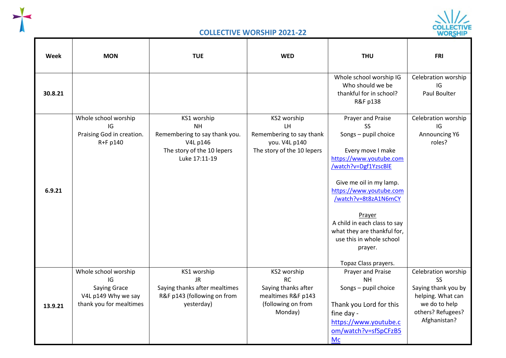



| Week    | <b>MON</b>                                                                                          | <b>TUE</b>                                                                                                           | <b>WED</b>                                                                                             | <b>THU</b>                                                                                                                                                                                                                                                                                                                                           | <b>FRI</b>                                                                                                                         |
|---------|-----------------------------------------------------------------------------------------------------|----------------------------------------------------------------------------------------------------------------------|--------------------------------------------------------------------------------------------------------|------------------------------------------------------------------------------------------------------------------------------------------------------------------------------------------------------------------------------------------------------------------------------------------------------------------------------------------------------|------------------------------------------------------------------------------------------------------------------------------------|
| 30.8.21 |                                                                                                     |                                                                                                                      |                                                                                                        | Whole school worship IG<br>Who should we be<br>thankful for in school?<br>R&F p138                                                                                                                                                                                                                                                                   | Celebration worship<br>IG<br>Paul Boulter                                                                                          |
| 6.9.21  | Whole school worship<br>IG<br>Praising God in creation.<br>R+F p140                                 | KS1 worship<br><b>NH</b><br>Remembering to say thank you.<br>V4L p146<br>The story of the 10 lepers<br>Luke 17:11-19 | KS2 worship<br>LH<br>Remembering to say thank<br>you. V4L p140<br>The story of the 10 lepers           | Prayer and Praise<br><b>SS</b><br>Songs - pupil choice<br>Every move I make<br>https://www.youtube.com<br>/watch?v=Dgf1YzscBlE<br>Give me oil in my lamp.<br>https://www.youtube.com<br>/watch?v=8t8zA1N6mCY<br>Prayer<br>A child in each class to say<br>what they are thankful for,<br>use this in whole school<br>prayer.<br>Topaz Class prayers. | Celebration worship<br>IG<br>Announcing Y6<br>roles?                                                                               |
| 13.9.21 | Whole school worship<br>IG<br><b>Saying Grace</b><br>V4L p149 Why we say<br>thank you for mealtimes | KS1 worship<br><b>JR</b><br>Saying thanks after mealtimes<br>R&F p143 (following on from<br>yesterday)               | KS2 worship<br><b>RC</b><br>Saying thanks after<br>mealtimes R&F p143<br>(following on from<br>Monday) | Prayer and Praise<br><b>NH</b><br>Songs - pupil choice<br>Thank you Lord for this<br>fine day -<br>https://www.youtube.c<br>om/watch?v=sfSpCFzB5<br><b>Mc</b>                                                                                                                                                                                        | Celebration worship<br><b>SS</b><br>Saying thank you by<br>helping. What can<br>we do to help<br>others? Refugees?<br>Afghanistan? |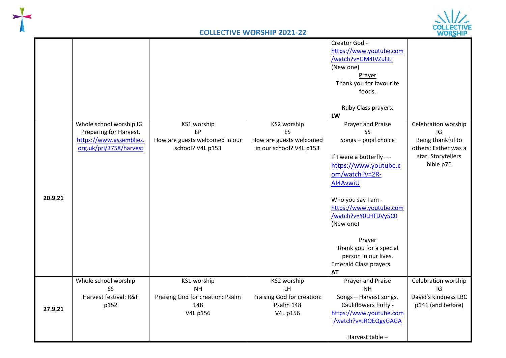



|         |                                                                                                         |                                                                                 |                                                                          | Creator God -<br>https://www.youtube.com<br>/watch?v=GM4IVZuljEI<br>(New one)<br>Prayer<br>Thank you for favourite<br>foods.<br>Ruby Class prayers.<br>LW                                                                                                                                                                              |                                                                                                           |
|---------|---------------------------------------------------------------------------------------------------------|---------------------------------------------------------------------------------|--------------------------------------------------------------------------|----------------------------------------------------------------------------------------------------------------------------------------------------------------------------------------------------------------------------------------------------------------------------------------------------------------------------------------|-----------------------------------------------------------------------------------------------------------|
| 20.9.21 | Whole school worship IG<br>Preparing for Harvest.<br>https://www.assemblies.<br>org.uk/pri/3758/harvest | KS1 worship<br><b>EP</b><br>How are guests welcomed in our<br>school? V4L p153  | KS2 worship<br>ES<br>How are guests welcomed<br>in our school? V4L p153  | Prayer and Praise<br><b>SS</b><br>Songs - pupil choice<br>If I were a butterfly $-$ -<br>https://www.youtube.c<br>om/watch?v=2R-<br>AI4AvwiU<br>Who you say I am -<br>https://www.youtube.com<br>/watch?v=Y0LHTDVy5C0<br>(New one)<br>Prayer<br>Thank you for a special<br>person in our lives.<br>Emerald Class prayers.<br><b>AT</b> | Celebration worship<br>IG<br>Being thankful to<br>others: Esther was a<br>star. Storytellers<br>bible p76 |
| 27.9.21 | Whole school worship<br>SS<br>Harvest festival: R&F<br>p152                                             | KS1 worship<br><b>NH</b><br>Praising God for creation: Psalm<br>148<br>V4L p156 | KS2 worship<br>LH<br>Praising God for creation:<br>Psalm 148<br>V4L p156 | Prayer and Praise<br><b>NH</b><br>Songs - Harvest songs.<br>Cauliflowers fluffy -<br>https://www.youtube.com<br>/watch?v=JRQEQgyGAGA<br>Harvest table -                                                                                                                                                                                | Celebration worship<br>IG<br>David's kindness LBC<br>p141 (and before)                                    |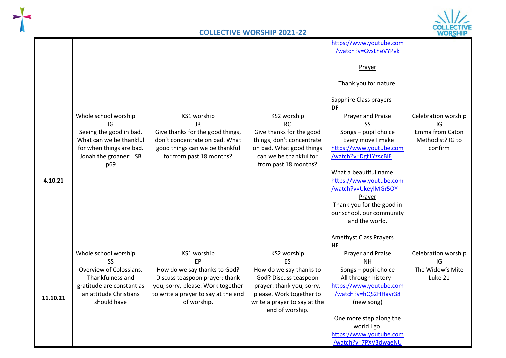



|          | Whole school worship<br>IG                                                                                                                       | KS1 worship<br><b>JR</b>                                                                                                                                                              | KS2 worship<br><b>RC</b>                                                                                                                                                          | https://www.youtube.com<br>/watch?v=GvsLheVYPvk<br>Prayer<br>Thank you for nature.<br>Sapphire Class prayers<br>DF<br>Prayer and Praise<br><b>SS</b>                                                                                                                                                         | Celebration worship<br>IG                                |
|----------|--------------------------------------------------------------------------------------------------------------------------------------------------|---------------------------------------------------------------------------------------------------------------------------------------------------------------------------------------|-----------------------------------------------------------------------------------------------------------------------------------------------------------------------------------|--------------------------------------------------------------------------------------------------------------------------------------------------------------------------------------------------------------------------------------------------------------------------------------------------------------|----------------------------------------------------------|
| 4.10.21  | Seeing the good in bad.<br>What can we be thankful<br>for when things are bad.<br>Jonah the groaner: LSB<br>p69                                  | Give thanks for the good things,<br>don't concentrate on bad. What<br>good things can we be thankful<br>for from past 18 months?                                                      | Give thanks for the good<br>things, don't concentrate<br>on bad. What good things<br>can we be thankful for<br>from past 18 months?                                               | Songs - pupil choice<br>Every move I make<br>https://www.youtube.com<br>/watch?v=Dgf1YzscBlE<br>What a beautiful name<br>https://www.youtube.com<br>/watch?v=UkeylMGr5OY<br>Prayer<br>Thank you for the good in<br>our school, our community<br>and the world.<br><b>Amethyst Class Prayers</b><br><b>HE</b> | Emma from Caton<br>Methodist? IG to<br>confirm           |
| 11.10.21 | Whole school worship<br>SS.<br>Overview of Colossians.<br>Thankfulness and<br>gratitude are constant as<br>an attitude Christians<br>should have | KS1 worship<br><b>FP</b><br>How do we say thanks to God?<br>Discuss teaspoon prayer: thank<br>you, sorry, please. Work together<br>to write a prayer to say at the end<br>of worship. | KS2 worship<br>ES<br>How do we say thanks to<br>God? Discuss teaspoon<br>prayer: thank you, sorry,<br>please. Work together to<br>write a prayer to say at the<br>end of worship. | Prayer and Praise<br><b>NH</b><br>Songs - pupil choice<br>All through history -<br>https://www.youtube.com<br>/watch?v=hQS2HHayr38<br>(new song)<br>One more step along the<br>world I go.<br>https://www.youtube.com<br>/watch?v=7PXV3dwaeNU                                                                | Celebration worship<br>IG<br>The Widow's Mite<br>Luke 21 |